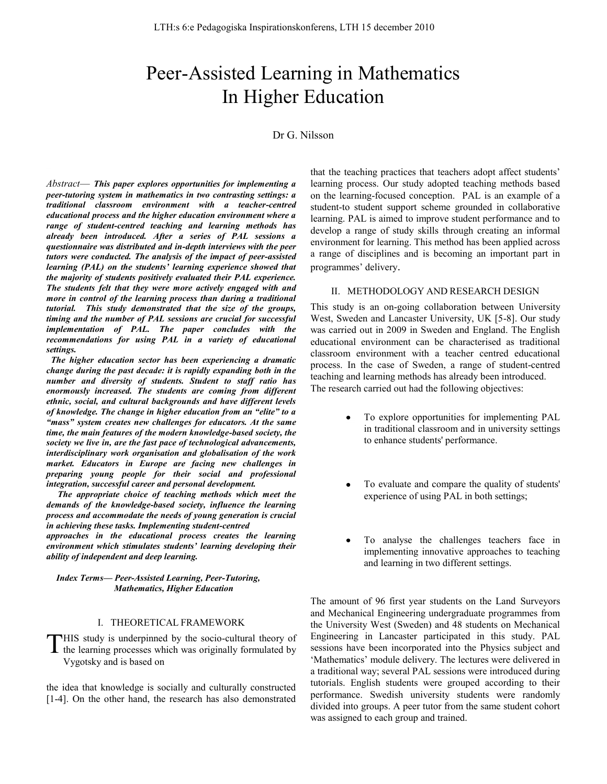# Peer-Assisted Learning in Mathematics In Higher Education

## Dr G. Nilsson

*Abstract*— *This paper explores opportunities for implementing a peer-tutoring system in mathematics in two contrasting settings: a traditional classroom environment with a teacher-centred educational process and the higher education environment where a range of student-centred teaching and learning methods has already been introduced. After a series of PAL sessions a questionnaire was distributed and in-depth interviews with the peer tutors were conducted. The analysis of the impact of peer-assisted learning (PAL) on the students' learning experience showed that the majority of students positively evaluated their PAL experience. The students felt that they were more actively engaged with and more in control of the learning process than during a traditional tutorial. This study demonstrated that the size of the groups, timing and the number of PAL sessions are crucial for successful implementation of PAL. The paper concludes with the recommendations for using PAL in a variety of educational settings.*

 *The higher education sector has been experiencing a dramatic change during the past decade: it is rapidly expanding both in the number and diversity of students. Student to staff ratio has enormously increased. The students are coming from different ethnic, social, and cultural backgrounds and have different levels of knowledge. The change in higher education from an "elite" to a "mass" system creates new challenges for educators. At the same time, the main features of the modern knowledge-based society, the society we live in, are the fast pace of technological advancements, interdisciplinary work organisation and globalisation of the work market. Educators in Europe are facing new challenges in preparing young people for their social and professional integration, successful career and personal development.* 

 *The appropriate choice of teaching methods which meet the demands of the knowledge-based society, influence the learning process and accommodate the needs of young generation is crucial in achieving these tasks. Implementing student-centred*

*approaches in the educational process creates the learning environment which stimulates students' learning developing their ability of independent and deep learning.*

#### *Index Terms— Peer-Assisted Learning, Peer-Tutoring, Mathematics, Higher Education*

#### I. THEORETICAL FRAMEWORK

HIS study is underpinned by the socio-cultural theory of THIS study is underpinned by the socio-cultural theory of the learning processes which was originally formulated by Vygotsky and is based on

the idea that knowledge is socially and culturally constructed [1-4]. On the other hand, the research has also demonstrated that the teaching practices that teachers adopt affect students" learning process. Our study adopted teaching methods based on the learning-focused conception. PAL is an example of a student-to student support scheme grounded in collaborative learning. PAL is aimed to improve student performance and to develop a range of study skills through creating an informal environment for learning. This method has been applied across a range of disciplines and is becoming an important part in programmes' delivery.

#### II. METHODOLOGY AND RESEARCH DESIGN

This study is an on-going collaboration between University West, Sweden and Lancaster University, UK [5-8]. Our study was carried out in 2009 in Sweden and England. The English educational environment can be characterised as traditional classroom environment with a teacher centred educational process. In the case of Sweden, a range of student-centred teaching and learning methods has already been introduced. The research carried out had the following objectives:

- To explore opportunities for implementing PAL in traditional classroom and in university settings to enhance students' performance.
- To evaluate and compare the quality of students' experience of using PAL in both settings;
- To analyse the challenges teachers face in implementing innovative approaches to teaching and learning in two different settings.

The amount of 96 first year students on the Land Surveyors and Mechanical Engineering undergraduate programmes from the University West (Sweden) and 48 students on Mechanical Engineering in Lancaster participated in this study. PAL sessions have been incorporated into the Physics subject and 'Mathematics' module delivery. The lectures were delivered in a traditional way; several PAL sessions were introduced during tutorials. English students were grouped according to their performance. Swedish university students were randomly divided into groups. A peer tutor from the same student cohort was assigned to each group and trained.